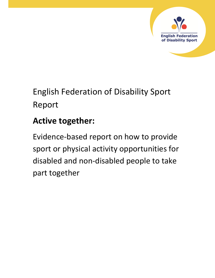

# English Federation of Disability Sport Report

# **Active together:**

Evidence-based report on how to provide sport or physical activity opportunities for disabled and non-disabled people to take part together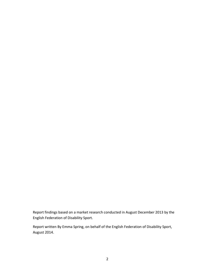Report findings based on a market research conducted in August December 2013 by the English Federation of Disability Sport.

Report written By Emma Spring, on behalf of the English Federation of Disability Sport, August 2014.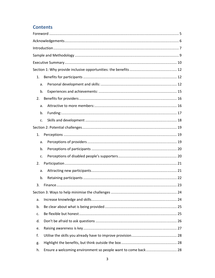# **Contents**

| 1. |                                                               |  |
|----|---------------------------------------------------------------|--|
| a. |                                                               |  |
| b. |                                                               |  |
| 2. |                                                               |  |
| a. |                                                               |  |
| b. |                                                               |  |
| c. |                                                               |  |
|    |                                                               |  |
| 1. |                                                               |  |
| a. |                                                               |  |
| b. |                                                               |  |
| c. |                                                               |  |
| 2. |                                                               |  |
| a. |                                                               |  |
| b. |                                                               |  |
| 3. |                                                               |  |
|    |                                                               |  |
| а. |                                                               |  |
| b. |                                                               |  |
| c. |                                                               |  |
| d. |                                                               |  |
| e. |                                                               |  |
| f. |                                                               |  |
| g. |                                                               |  |
| h. | Ensure a welcoming environment so people want to come back 28 |  |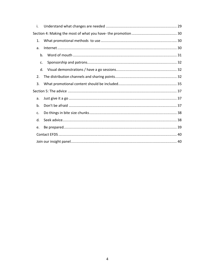|  | i. |  |  |  |
|--|----|--|--|--|
|  |    |  |  |  |
|  | 1. |  |  |  |
|  | a. |  |  |  |
|  | b. |  |  |  |
|  | c. |  |  |  |
|  | d. |  |  |  |
|  | 2. |  |  |  |
|  | 3. |  |  |  |
|  |    |  |  |  |
|  | a. |  |  |  |
|  | b. |  |  |  |
|  | c. |  |  |  |
|  | d. |  |  |  |
|  | e. |  |  |  |
|  |    |  |  |  |
|  |    |  |  |  |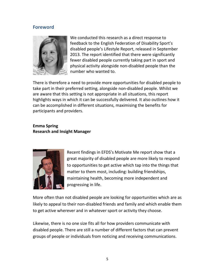# **Foreword**



We conducted this research as a direct response to feedback to the English Federation of Disability Sport's disabled people's Lifestyle Report, released in September 2013. The report identified that there were significantly fewer disabled people currently taking part in sport and physical activity alongside non-disabled people than the number who wanted to.

There is therefore a need to provide more opportunities for disabled people to take part in their preferred setting, alongside non-disabled people. Whilst we are aware that this setting is not appropriate in all situations, this report highlights ways in which it can be successfully delivered. It also outlines how it can be accomplished in different situations, maximising the benefits for participants and providers.

# **Emma Spring Research and Insight Manager**



Recent findings in EFDS's Motivate Me report show that a great majority of disabled people are more likely to respond to opportunities to get active which tap into the things that matter to them most, including: building friendships, maintaining health, becoming more independent and progressing in life.

More often than not disabled people are looking for opportunities which are as likely to appeal to their non-disabled friends and family and which enable them to get active wherever and in whatever sport or activity they choose.

Likewise, there is no one size fits all for how providers communicate with disabled people. There are still a number of different factors that can prevent groups of people or individuals from noticing and receiving communications.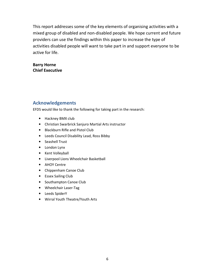This report addresses some of the key elements of organising activities with a mixed group of disabled and non-disabled people. We hope current and future providers can use the findings within this paper to increase the type of activities disabled people will want to take part in and support everyone to be active for life.

# **Barry Horne Chief Executive**

# **Acknowledgements**

EFDS would like to thank the following for taking part in the research:

- Hackney BMX club
- Christian Swarbrick Sanjuro Martial Arts instructor
- Blackburn Rifle and Pistol Club
- Leeds Council Disability Lead, Ross Bibby
- Seashell Trust
- London Lynx
- Kent Volleyball
- Liverpool Lions Wheelchair Basketball
- AHOY Centre
- Chippenham Canoe Club
- Essex Sailing Club
- Southampton Canoe Club
- Wheelchair Laser-Tag
- Leeds SpiderY
- Wirral Youth Theatre/Youth Arts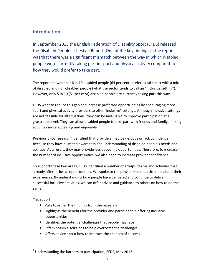# **Introduction**

In September 2013 the English Federation of Disability Sport (EFDS) released the Disabled People's Lifestyle Report. One of the key findings in the report was that there was a significant mismatch between the way in which disabled people were currently taking part in sport and physical activity compared to how they would prefer to take part.

The report showed that 6 in 10 disabled people (64 per cent) prefer to take part with a mix of disabled and non-disabled people (what the sector tends to call an "inclusive setting"). However, only 5 in 10 (51 per cent) disabled people are currently taking part this way.

EFDS want to reduce this gap and increase preferred opportunities by encouraging more sport and physical activity providers to offer "inclusive" settings. Although inclusive settings are not feasible for all situations, they can be invaluable to improve participation at a grassroots level. They can allow disabled people to take part with friends and family, making activities more appealing and enjoyable.

Previous EFDS research<sup>1</sup> identified that providers may be nervous or lack confidence because they have a limited awareness and understanding of disabled people's needs and abilities. As a result, they may provide less appealing opportunities. Therefore, to increase the number of inclusive opportunities, we also need to increase provider confidence.

To support these two areas, EFDS identified a number of groups, teams and activities that already offer inclusive opportunities. We spoke to the providers and participants about their experiences. By understanding how people have delivered and continue to deliver successful inclusive activities, we can offer advice and guidance to others on how to do the same.

This report:

-

- Pulls together the findings from the research
- Highlights the benefits for the provider and participant in offering inclusive opportunities
- Identifies the potential challenges that people may face
- Offers possible solutions to help overcome the challenges
- Offers advice about how to improve the chances of success

 $<sup>1</sup>$  Understanding the barriers to participation, EFDS, May 2012</sup>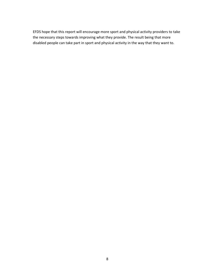EFDS hope that this report will encourage more sport and physical activity providers to take the necessary steps towards improving what they provide. The result being that more disabled people can take part in sport and physical activity in the way that they want to.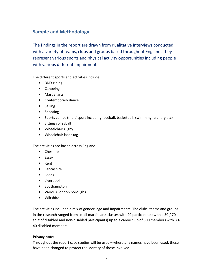# **Sample and Methodology**

The findings in the report are drawn from qualitative interviews conducted with a variety of teams, clubs and groups based throughout England. They represent various sports and physical activity opportunities including people with various different impairments.

The different sports and activities include:

- BMX riding
- Canoeing
- Martial arts
- Contemporary dance
- Sailing
- Shooting
- Sports camps (multi sport including football, basketball, swimming, archery etc)
- Sitting volleyball
- Wheelchair rugby
- Wheelchair laser-tag

The activities are based across England:

- Cheshire
- Essex
- Kent
- Lancashire
- Leeds
- Liverpool
- Southampton
- Various London boroughs
- Wiltshire

The activities included a mix of gender, age and impairments. The clubs, teams and groups in the research ranged from small martial arts classes with 20 participants (with a 30 / 70 split of disabled and non-disabled participants) up to a canoe club of 500 members with 30- 40 disabled members

## **Privacy note:**

Throughout the report case studies will be used – where any names have been used, these have been changed to protect the identity of those involved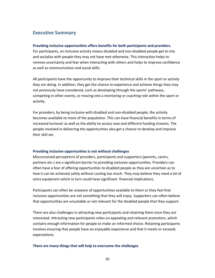# **Executive Summary**

#### **Providing inclusive opportunities offers benefits for both participants and providers.**

For participants, an inclusive activity means disabled and non-disabled people get to mix and socialise with people they may not have met otherwise. This interaction helps to remove uncertainty and fear when interacting with others and helps to improve confidence as well as communication and social skills.

All participants have the opportunity to improve their technical skills in the sport or activity they are doing. In addition, they get the chance to experience and achieve things they may not previously have considered, such as developing through the sports' pathways, competing in other events, or moving into a mentoring or coaching role within the sport or activity.

For providers, by being inclusive with disabled and non-disabled people, the activity becomes available to more of the population. This can have financial benefits in terms of increased turnover as well as the ability to access new and different funding streams. The people involved in delivering the opportunities also get a chance to develop and improve their skill set.

#### **Providing inclusive opportunities is not without challenges**

Misconceived perceptions of providers, participants and supporters (parents, carers, partners etc.) are a significant barrier to providing inclusive opportunities. Providers can often have a fear of offering opportunities to disabled people as they are uncertain as to how it can be achieved safely without costing too much. They may believe they need a lot of extra equipment which in turn could have significant financial implications.

Participants can often be unaware of opportunities available to them or they feel that inclusive opportunities are not something that they will enjoy. Supporters can often believe that opportunities are unsuitable or not relevant for the disabled people that they support.

There are also challenges in attracting new participants and retaining them once they are interested. Attracting new participants relies on appealing and relevant promotion, which contains enough information for people to make an informed choice. Retaining participants involves ensuring that people have an enjoyable experience and that it meets or exceeds expectations.

#### **There are many things that will help to overcome the challenges**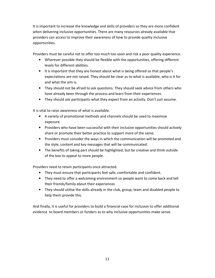It is important to increase the knowledge and skills of providers so they are more confident when delivering inclusive opportunities. There are many resources already available that providers can access to improve their awareness of how to provide quality inclusive opportunities.

Providers must be careful not to offer too much too soon and risk a poor quality experience.

- Wherever possible they should be flexible with the opportunities, offering different levels for different abilities.
- It is important that they are honest about what is being offered so that people's expectations are not raised. They should be clear as to what is available, who is it for and what the aim is.
- They should not be afraid to ask questions. They should seek advice from others who have already been through the process and learn from their experiences.
- They should ask participants what they expect from an activity. Don't just assume.

It is vital to raise awareness of what is available.

- A variety of promotional methods and channels should be used to maximise exposure.
- Providers who have been successful with their inclusive opportunities should actively share or promote their better practice to support more of the same.
- Providers must consider the ways in which the communication will be promoted and the style, content and key messages that will be communicated.
- The benefits of taking part should be highlighted, but be creative and think outside of the box to appeal to more people.

Providers need to retain participants once attracted.

- They must ensure that participants feel safe, comfortable and confident.
- They need to offer a welcoming environment so people want to come back and tell their friends/family about their experiences
- They should utilise the skills already in the club, group, team and disabled people to help them provide this.

And finally, it is useful for providers to build a financial case for inclusion to offer additional evidence to board members or funders as to why inclusive opportunities make sense.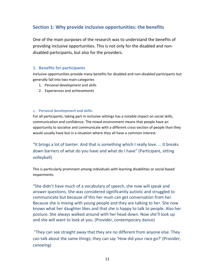# **Section 1: Why provide inclusive opportunities: the benefits**

One of the main purposes of the research was to understand the benefits of providing inclusive opportunities. This is not only for the disabled and nondisabled participants, but also for the providers.

# **1. Benefits for participants**

Inclusive opportunities provide many benefits for disabled and non-disabled participants but generally fall into two main categories

- 1. Personal development and skills
- 2. Experiences and achievements

#### a. **Personal development and skills:**

For all participants, taking part in inclusive settings has a notable impact on social skills, communication and confidence. The mixed environment means that people have an opportunity to socialise and communicate with a different cross-section of people than they would usually have but in a situation where they all have a common interest.

"It brings a lot of banter. And that is something which I really love. … It breaks down barriers of what do you have and what do I have" (Participant, sitting volleyball)

This is particularly prominent among individuals with learning disabilities or social based impairments.

"She didn't have much of a vocabulary of speech, she now will speak and answer questions. She was considered significantly autistic and struggled to communicate but because of this her mum can get conversation from her. Because she is mixing with young people and they are talking to her. She now knows what her daughter likes and that she is happy to talk to people. Also her posture. She always walked around with her head down. Now she'll look up and she will want to look at you. (Provider, contemporary dance)

 "They can see straight away that they are no different from anyone else. They can talk about the same things; they can say 'How did your race go?' (Provider, canoeing)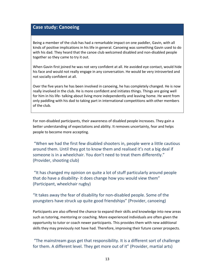# **Case study: Canoeing**

Being a member of the club has had a remarkable impact on one paddler, Gavin, with all kinds of positive implications in his life in general. Canoeing was something Gavin used to do with his dad. They heard that the canoe club welcomed disabled and non-disabled people together so they came to try it out.

When Gavin first joined he was not very confident at all. He avoided eye contact, would hide his face and would not really engage in any conversation. He would be very introverted and not socially confident at all.

Over the five years he has been involved in canoeing, he has completely changed. He is now really involved in the club. He is more confident and initiates things. Things are going well for him in his life- talking about living more independently and leaving home. He went from only paddling with his dad to taking part in international competitions with other members of the club.

For non-disabled participants, their awareness of disabled people increases. They gain a better understanding of expectations and ability. It removes uncertainty, fear and helps people to become more accepting.

 "When we had the first few disabled shooters in, people were a little cautious around them. Until they got to know them and realised it's not a big deal if someone is in a wheelchair. You don't need to treat them differently." (Provider, shooting club)

 "It has changed my opinion on quite a lot of stuff particularly around people that do have a disability- it does change how you would view them" (Participant, wheelchair rugby)

# "It takes away the fear of disability for non-disabled people. Some of the youngsters have struck up quite good friendships" (Provider, canoeing)

Participants are also offered the chance to expand their skills and knowledge into new areas such as tutoring, mentoring or coaching. More experienced individuals are often given the opportunity to tutor or coach newer participants. This provides them with new additional skills they may previously not have had. Therefore, improving their future career prospects.

# "The mainstream guys get that responsibility. It is a different sort of challenge for them. A different level. They get more out of it" (Provider, martial arts)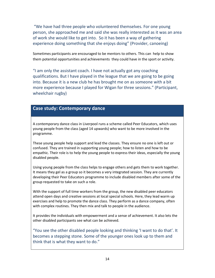"We have had three people who volunteered themselves. For one young person, she approached me and said she was really interested as it was an area of work she would like to get into. So it has been a way of gathering experience doing something that she enjoys doing" (Provider, canoeing)

Sometimes participants are encouraged to be mentors to others. This can help to show them potential opportunities and achievements they could have in the sport or activity.

"I am only the assistant coach. I have not actually got any coaching qualifications. But I have played in the league that we are going to be going into. Because it is a new club he has brought me on as someone with a bit more experience because I played for Wigan for three sessions." (Participant, wheelchair rugby)

# **Case study: Contemporary dance**

A contemporary dance class in Liverpool runs a scheme called Peer Educators, which uses young people from the class (aged 14 upwards) who want to be more involved in the programme.

These young people help support and lead the classes. They ensure no one is left out or confused. They are trained in supporting young people; how to listen and how to be empathic. Their role is to help the young people to express their ideas, especially the young disabled people.

Using young people from the class helps to engage others and gets them to work together. It means they gel as a group so it becomes a very integrated session. They are currently developing their Peer Educators programme to include disabled members after some of the group requested to take on such a role.

With the support of full time workers from the group, the new disabled peer educators attend open days and creative sessions at local special schools. Here, they lead warm up exercises and help to promote the dance class. They perform as a dance company, often with complex routines. They then mix and talk to people in the audience.

It provides the individuals with empowerment and a sense of achievement. It also lets the other disabled participants see what can be achieved.

"You see the other disabled people looking and thinking 'I want to do that'. It becomes a stepping stone. Some of the younger ones look up to them and think that is what they want to do."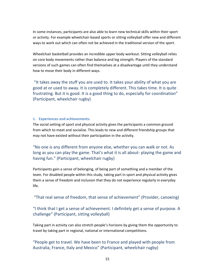In some instances, participants are also able to learn new technical skills within their sport or activity. For example wheelchair-based sports or sitting volleyball offer new and different ways to work out which can often not be achieved in the traditional version of the sport.

Wheelchair basketball provides an incredible upper body workout. Sitting volleyball relies on core body movements rather than balance and leg strength. Players of the standard versions of such games can often find themselves at a disadvantage until they understand how to move their body in different ways.

 "It takes away the stuff you are used to. It takes your ability of what you are good at or used to away. It is completely different. This takes time. It is quite frustrating. But it is good. It is a good thing to do, especially for coordination" (Participant, wheelchair rugby)

#### b. **Experiences and achievements:**

The social setting of sport and physical activity gives the participants a common ground from which to meet and socialise. This leads to new and different friendship groups that may not have existed without their participation in the activity.

"No one is any different from anyone else, whether you can walk or not. As long as you can play the game. That's what it is all about- playing the game and having fun." (Participant, wheelchair rugby)

Participants gain a sense of belonging, of being part of something and a member of the team. For disabled people within this study, taking part in sport and physical activity gives them a sense of freedom and inclusion that they do not experience regularly in everyday life.

"That real sense of freedom, that sense of achievement" (Provider, canoeing)

# "I think that I get a sense of achievement. I definitely get a sense of purpose. A challenge" (Participant, sitting volleyball)

Taking part in activity can also stretch people's horizons by giving them the opportunity to travel by taking part in regional, national or international competitions.

"People get to travel. We have been to France and played with people from Australia, France, Italy and Mexico" (Participant, wheelchair rugby)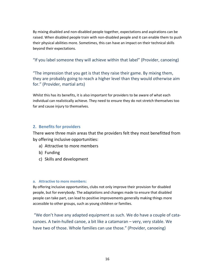By mixing disabled and non-disabled people together, expectations and aspirations can be raised. When disabled people train with non-disabled people and it can enable them to push their physical abilities more. Sometimes, this can have an impact on their technical skills beyond their expectations.

"If you label someone they will achieve within that label" (Provider, canoeing)

"The impression that you get is that they raise their game. By mixing them, they are probably going to reach a higher level than they would otherwise aim for." (Provider, martial arts)

Whilst this has its benefits, it is also important for providers to be aware of what each individual can realistically achieve. They need to ensure they do not stretch themselves too far and cause injury to themselves.

# **2. Benefits for providers**

There were three main areas that the providers felt they most benefitted from by offering inclusive opportunities:

- a) Attractive to more members
- b) Funding
- c) Skills and development

## **a. Attractive to more members:**

By offering inclusive opportunities, clubs not only improve their provision for disabled people, but for everybody. The adaptations and changes made to ensure that disabled people can take part, can lead to positive improvements generally making things more accessible to other groups, such as young children or families.

 "We don't have any adapted equipment as such. We do have a couple of catacanoes. A twin-hulled canoe, a bit like a catamaran – very, very stable. We have two of those. Whole families can use those." (Provider, canoeing)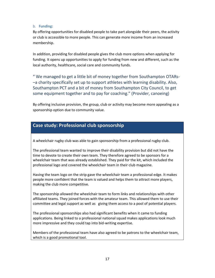#### b. **Funding:**

By offering opportunities for disabled people to take part alongside their peers, the activity or club is accessible to more people. This can generate more income from an increased membership.

In addition, providing for disabled people gives the club more options when applying for funding. It opens up opportunities to apply for funding from new and different, such as the local authority, healthcare, social care and community funds.

" We managed to get a little bit of money together from Southampton OTARs- –a charity specifically set up to support athletes with learning disability. Also, Southampton PCT and a bit of money from Southampton City Council, to get some equipment together and to pay for coaching." (Provider, canoeing)

By offering inclusive provision, the group, club or activity may become more appealing as a sponsorship option due to community value.

# **Case study: Professional club sponsorship**

A wheelchair rugby club was able to gain sponsorship from a professional rugby club.

The professional team wanted to improve their disability provision but did not have the time to devote to create their own team. They therefore agreed to be sponsors for a wheelchair team that was already established. They paid for the kit, which included the professional logo and covered the wheelchair team in their club magazine.

Having the team logo on the strip gave the wheelchair team a professional edge. It makes people more confident that the team is valued and helps them to attract more players, making the club more competitive.

The sponsorship allowed the wheelchair team to form links and relationships with other affiliated teams. They joined forces with the amateur team. This allowed them to use their committee and legal support as well as giving them access to a pool of potential players.

The professional sponsorships also had significant benefits when it came to funding applications. Being linked to a professional national squad makes applications look much more impressive and they could tap into bid-writing expertise.

Members of the professional team have also agreed to be patrons to the wheelchair team, which is a good promotional tool.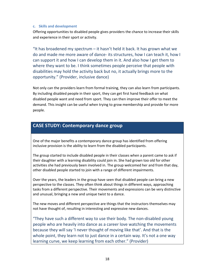#### **c. Skills and development**

Offering opportunities to disabled people gives providers the chance to increase their skills and experience in their sport or activity.

"It has broadened my spectrum  $-$  it hasn't held it back. It has grown what we do and made me more aware of dance- its structures, how I can teach it, how I can support it and how I can develop them in it. And also how I get them to where they want to be. I think sometimes people perceive that people with disabilities may hold the activity back but no, it actually brings more to the opportunity." (Provider, inclusive dance)

Not only can the providers learn from formal training, they can also learn from participants. By including disabled people in their sport, they can get first hand feedback on what disabled people want and need from sport. They can then improve their offer to meet the demand. This insight can be useful when trying to grow membership and provide for more people.

# **CASE STUDY: Contemporary dance group**

One of the major benefits a contemporary dance group has identified from offering inclusive provision is the ability to learn from the disabled participants.

The group started to include disabled people in their classes when a parent came to ask if their daughter with a learning disability could join in. She had grown too old for other activities she had previously been involved in. The group welcomed her and from that day, other disabled people started to join with a range of different impairments.

Over the years, the leaders in the group have seen that disabled people can bring a new perspective to the classes. They often think about things in different ways, approaching tasks from a different perspective. Their movements and expressions can be very distinctive and unusual, bringing a new and unique twist to a dance.

The new moves and different perspective are things that the instructors themselves may not have thought of, resulting in interesting and expressive new dances.

"They have such a different way to use their body. The non-disabled young people who are heavily into dance as a career love watching the movements because they will say 'I never thought of moving like that'. And that is the whole point, they learn not to just dance in a certain way. It's not a one way learning curve, we keep learning from each other." (Provider)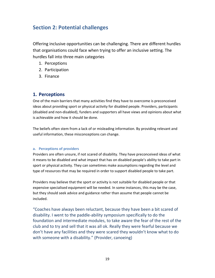# **Section 2: Potential challenges**

Offering inclusive opportunities can be challenging. There are different hurdles that organisations could face when trying to offer an inclusive setting. The hurdles fall into three main categories

- 1. Perceptions
- 2. Participation
- 3. Finance

# **1. Perceptions**

One of the main barriers that many activities find they have to overcome is preconceived ideas about providing sport or physical activity for disabled people. Providers, participants (disabled and non-disabled), funders and supporters all have views and opinions about what is achievable and how it should be done.

The beliefs often stem from a lack of or misleading information. By providing relevant and useful information, these misconceptions can change.

## **a. Perceptions of providers**

Providers are often unsure, if not scared of disability. They have preconceived ideas of what it means to be disabled and what impact that has on disabled people's ability to take part in sport or physical activity. They can sometimes make assumptions regarding the level and type of resources that may be required in order to support disabled people to take part.

Providers may believe that the sport or activity is not suitable for disabled people or that expensive specialised equipment will be needed. In some instances, this may be the case, but they should seek advice and guidance rather than assume that people cannot be included.

"Coaches have always been reluctant, because they have been a bit scared of disability. I went to the paddle-ability symposium specifically to do the foundation and intermediate modules, to take aware the fear of the rest of the club and to try and sell that it was all ok. Really they were fearful because we don't have any facilities and they were scared they wouldn't know what to do with someone with a disability." (Provider, canoeing)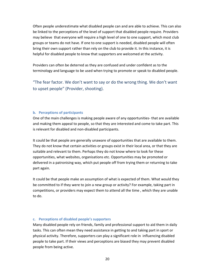Often people underestimate what disabled people can and are able to achieve. This can also be linked to the perceptions of the level of support that disabled people require. Providers may believe that everyone will require a high level of one to one support, which most club groups or teams do not have. If one to one support is needed, disabled people will often bring their own support rather than rely on the club to provide it. In this instance, it is helpful for disabled people to know that supporters are welcomed at the activity.

Providers can often be deterred as they are confused and under confident as to the terminology and language to be used when trying to promote or speak to disabled people.

"The fear factor. We don't want to say or do the wrong thing. We don't want to upset people" (Provider, shooting).

#### **b. Perceptions of participants**

One of the main challenges is making people aware of any opportunities- that are available and making them appeal to people, so that they are interested and come to take part. This is relevant for disabled and non-disabled participants.

It could be that people are generally unaware of opportunities that are available to them. They do not know that certain activities or groups exist in their local area, or that they are suitable and relevant to them. Perhaps they do not know where to look for these opportunities, what websites, organisations etc. Opportunities may be promoted or delivered in a patronising way, which put people off from trying them or returning to take part again.

It could be that people make an assumption of what is expected of them. What would they be committed to if they were to join a new group or activity? For example, taking part in competitions, or providers may expect them to attend all the time , which they are unable to do.

#### **c. Perceptions of disabled people's supporters**

Many disabled people rely on friends, family and professional support to aid them in daily tasks. This can often mean they need assistance in getting to and taking part in sport or physical activity. Therefore, supporters can play a significant role in influencing disabled people to take part. If their views and perceptions are biased they may prevent disabled people from being active.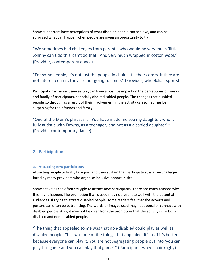Some supporters have perceptions of what disabled people can achieve, and can be surprised what can happen when people are given an opportunity to try.

"We sometimes had challenges from parents, who would be very much 'little Johnny can't do this, can't do that'. And very much wrapped in cotton wool." (Provider, contemporary dance)

"For some people, it's not just the people in chairs. It's their carers. If they are not interested in it, they are not going to come." (Provider, wheelchair sports)

Participation in an inclusive setting can have a positive impact on the perceptions of friends and family of participants, especially about disabled people. The changes that disabled people go through as a result of their involvement in the activity can sometimes be surprising for their friends and family.

"One of the Mum's phrases is ' You have made me see my daughter, who is fully autistic with Downs, as a teenager, and not as a disabled daughter'." (Provide, contemporary dance)

## **2. Participation**

#### **a. Attracting new participants**

Attracting people to firstly take part and then sustain that participation, is a key challenge faced by many providers who organise inclusive opportunities.

Some activities can often struggle to attract new participants. There are many reasons why this might happen. The promotion that is used may not resonate well with the potential audiences. If trying to attract disabled people, some readers feel that the adverts and posters can often be patronising. The words or images used may not appeal or connect with disabled people. Also, it may not be clear from the promotion that the activity is for both disabled and non-disabled people.

"The thing that appealed to me was that non-disabled could play as well as disabled people. That was one of the things that appealed. It's as if it's better because everyone can play it. You are not segregating people out into 'you can play this game and you can play that game'." (Participant, wheelchair rugby)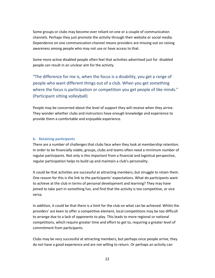Some groups or clubs may become over reliant on one or a couple of communication channels. Perhaps they just promote the activity through their website or social media. Dependence on one communication channel means providers are missing out on raising awareness among people who may not use or have access to that.

Some more active disabled people often feel that activities advertised just for disabled people can result in an unclear aim for the activity.

"The difference for me is, when the focus is a disability, you get a range of people who want different things out of a club. When you get something where the focus is participation or competition you get people of like minds." (Participant sitting volleyball)

People may be concerned about the level of support they will receive when they arrive. They wonder whether clubs and instructors have enough knowledge and experience to provide them a comfortable and enjoyable experience.

#### **b. Retaining participants**

There are a number of challenges that clubs face when they look at membership retention. In order to be financially viable, groups, clubs and teams often need a minimum number of regular participants. Not only is this important from a financial and logistical perspective, regular participation helps to build up and maintain a club's personality.

It could be that activities are successful at attracting members, but struggle to retain them. One reason for this is the link to the participants' expectations. What do participants want to achieve at the club in terms of personal development and learning? They may have joined to take part in something fun, and find that the activity is too competitive, or vice versa.

In addition, it could be that there is a limit for the club on what can be achieved. Whilst the providers' are keen to offer a competitive element, local competitions may be too difficult to arrange due to a lack of opponents to play. This leads to more regional or national competitions, which require greater time and effort to get to, requiring a greater level of commitment from participants.

Clubs may be very successful at attracting members, but perhaps once people arrive, they do not have a good experience and are not willing to return. Or perhaps an activity can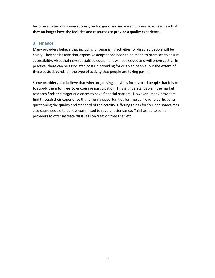become a victim of its own success, be too good and increase numbers so excessively that they no longer have the facilities and resources to provide a quality experience.

# **3. Finance**

Many providers believe that including or organising activities for disabled people will be costly. They can believe that expensive adaptations need to be made to premises to ensure accessibility. Also, that new specialised equipment will be needed and will prove costly. In practice, there can be associated costs in providing for disabled people, but the extent of these costs depends on the type of activity that people are taking part in.

Some providers also believe that when organising activities for disabled people that it is best to supply them for free to encourage participation. This is understandable if the market research finds the target audiences to have financial barriers. However, many providers find through their experience that offering opportunities for free can lead to participants questioning the quality and standard of the activity. Offering things for free can sometimes also cause people to be less committed to regular attendance. This has led to some providers to offer instead- 'first session free' or 'free trial' etc.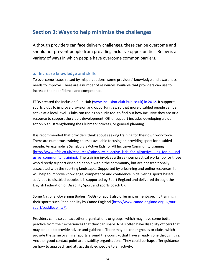# **Section 3: Ways to help minimise the challenges**

Although providers can face delivery challenges, these can be overcome and should not prevent people from providing inclusive opportunities. Below is a variety of ways in which people have overcome common barriers.

# **a. Increase knowledge and skills**

To overcome issues raised by misperceptions, some providers' knowledge and awareness needs to improve. There are a number of resources available that providers can use to increase their confidence and competence.

EFDS created the Inclusion Club Hub (www.inclusion-club-hub.co.uk) in 2012. It supports sports clubs to improve provision and opportunities, so that more disabled people can be active at a local level. Clubs can use as an audit tool to find out how inclusive they are or a resource to support the club's development. Other support includes developing a club action plan, strengthening the Clubmark process, or general planning.

It is recommended that providers think about seeking training for their own workforce. There are numerous training courses available focusing on providing sport for disabled people. An example is Sainsbury's Active Kids for All Inclusive Community training (http://www.efds.co.uk/resources/sainsbury\_s\_active\_kids\_for\_all/active\_kids\_for\_all\_incl usive community training). The training involves a three-hour practical workshop for those who directly support disabled people within the community, but are not traditionally associated with the sporting landscape.. Supported by e-learning and online resources, it will help to improve knowledge, competence and confidence in delivering sports based activities to disabled people. It is supported by Sport England and delivered through the English Federation of Disability Sport and sports coach UK.

Some National Governing Bodies (NGBs) of sport also offer impairment-specific training in their sports such Paddleability by Canoe England (http://www.canoe-england.org.uk/oursport/paddleability/).

Providers can also contact other organisations or groups, which may have some better practice from their experiences that they can share. NGBs often have disability officers that may be able to provide advice and guidance. There may be other groups or clubs, which provide the same or similar sports around the country, that have already gone through this. Another good contact point are disability organisations. They could perhaps offer guidance on how to approach and attract disabled people to an activity.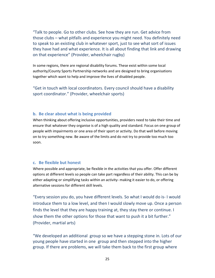"Talk to people. Go to other clubs. See how they are run. Get advice from those clubs – what pitfalls and experience you might need. You definitely need to speak to an existing club in whatever sport, just to see what sort of issues they have had and what experience. It is all about finding that link and drawing on that experience" (Provider, wheelchair rugby)

In some regions, there are regional disability forums. These exist within some local authority/County Sports Partnership networks and are designed to bring organisations together which want to help and improve the lives of disabled people.

"Get in touch with local coordinators. Every council should have a disability sport coordinator." (Provider, wheelchair sports)

## **b. Be clear about what is being provided**

When thinking about offering inclusive opportunities, providers need to take their time and ensure that whatever they organise is of a high quality and standard. Focus on one group of people with impairments or one area of their sport or activity. Do that well before moving on to try something new. Be aware of the limits and do not try to provide too much too soon.

## **c. Be flexible but honest**

Where possible and appropriate, be flexible in the activities that you offer. Offer different options at different levels so people can take part regardless of their ability. This can be by either adapting or simplifying tasks within an activity- making it easier to do, or offering alternative sessions for different skill levels.

"Every session you do, you have different levels. So what I would do is- I would introduce them to a low level, and then I would slowly move up. Once a person finds the level that they are happy training at, they stay there or continue. I show them the other options for those that want to push it a bit further." (Provider, martial arts)

"We developed an additional group so we have a stepping stone in. Lots of our young people have started in one group and then stepped into the higher group. If there are problems, we will take them back to the first group where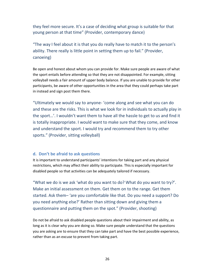they feel more secure. It's a case of deciding what group is suitable for that young person at that time" (Provider, contemporary dance)

"The way I feel about it is that you do really have to match it to the person's ability. There really is little point in setting them up to fail." (Provider, canoeing)

Be open and honest about whom you can provide for. Make sure people are aware of what the sport entails before attending so that they are not disappointed. For example, sitting volleyball needs a fair amount of upper body balance. If you are unable to provide for other participants, be aware of other opportunities in the area that they could perhaps take part in instead and sign post them there.

"Ultimately we would say to anyone- 'come along and see what you can do and these are the risks. This is what we look for in individuals to actually play in the sport…'. I wouldn't want them to have all the hassle to get to us and find it is totally inappropriate. I would want to make sure that they come, and know and understand the sport. I would try and recommend them to try other sports." (Provider, sitting volleyball)

## **d. Don't be afraid to ask questions**

It is important to understand participants' intentions for taking part and any physical restrictions, which may affect their ability to participate. This is especially important for disabled people so that activities can be adequately tailored if necessary.

"What we do is we ask 'what do you want to do? What do you want to try?'. Make an initial assessment on them. Get them on to the range. Get them started. Ask them– 'are you comfortable like that. Do you need a support? Do you need anything else?' Rather than sitting down and giving them a questionnaire and putting them on the spot." (Provider, shooting)

Do not be afraid to ask disabled people questions about their impairment and ability, as long as it is clear why you are doing so. Make sure people understand that the questions you are asking are to ensure that they can take part and have the best possible experience, rather than as an excuse to prevent from taking part.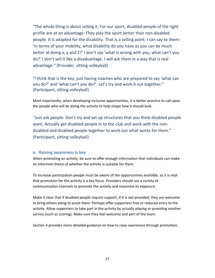"The whole thing is about selling it. For our sport, disabled people of the right profile are at an advantage. They play the sport better than non-disabled people. It is adapted for the disability. That is a selling point. I can say to them- 'in terms of your mobility, what disability do you have as you can be much better at doing x, y and Z?' I don't say 'what is wrong with you, what can't you do?' I don't sell it like a disadvantage. I will ask them in a way that is real advantage." (Provider, sitting volleyball)

"I think that is the key, just having coaches who are prepared to say 'what can you do?' and 'what can't you do?'. Let's try and work it out together." (Participant, sitting volleyball)

Most importantly, when developing inclusive opportunities, it is better practice to call upon the people who will be doing the activity to help shape how it should look.

"Just ask people. Don't try and set up structures that you think disabled people want. Actually get disabled people in to the club and work with the nondisabled and disabled people together to work out what works for them." (Participant, sitting volleyball)

#### **e. Raising awareness is key**

When promoting an activity, be sure to offer enough information that individuals can make an informed choice of whether the activity is suitable for them.

To increase participation people must be aware of the opportunities available, so it is vital that promotion for the activity is a key focus. Providers should use a variety of communication channels to promote the activity and maximise its exposure.

Make it clear that if disabled people require support, if it is not provided, they are welcome to bring others along to assist them. Perhaps offer supporters free or reduced entry to the activity. Allow supporters to take part in the activity by actually playing or providing another service (such as scoring). Make sure they feel welcome and part of the team.

Section 4 provides more detailed guidance on how to raise awareness through promotion.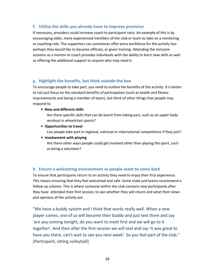# **f. Utilise the skills you already have to improve provision**

If necessary, providers could increase coach to participant ratio. An example of this is by encouraging older, more experienced members of the club or team to take on a mentoring or coaching role. The supporters can sometimes offer extra workforce for the activity tooperhaps they would like to become officials, or given training. Attending the inclusive sessions as a mentor or coach provides individuals with the ability to learn new skills as well as offering the additional support to anyone who may need it.

## **g. Highlight the benefits, but think outside the box**

To encourage people to take part, you need to outline the benefits of the activity. It is better to not just focus on the standard benefits of participation (such as health and fitness improvements and being a member of team), but think of other things that people may respond to.

• **New and different skills** 

Are there specific skills that can be learnt from taking part, such as an upper body workout in wheelchair sports?

- **Opportunities to travel**  Can people take part in regional, national or international competitions if they join?
- **Involvement with playing**

Are there other ways people could get involved other than playing the sport, such as being a volunteer?

## **h. Ensure a welcoming environment so people want to come back**

To ensure that participants return to an activity they need to enjoy their first experience. This means ensuring that they feel welcomed and safe. Some clubs and teams recommend a follow up scheme. This is where someone within the club contacts new participants after they have attended their first session, to see whether they will return and what their views and opinions of the activity are.

"We have a buddy system and I think that works really well. When a new player comes, one of us will become their buddy and just text them and say 'are you coming tonight, do you want to meet first and we will go to it together'. And then after the first session we will text and say 'it was great to have you there, can't wait to see you next week'. So you feel part of the club." (Participant, sitting volleyball)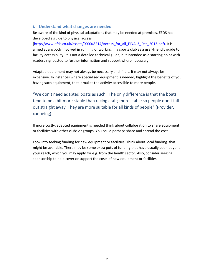# **i. Understand what changes are needed**

Be aware of the kind of physical adaptations that may be needed at premises. EFDS has developed a guide to physical access

(http://www.efds.co.uk/assets/0000/8214/Access\_for\_all\_FINAL3\_Dec\_2013.pdf). It is aimed at anybody involved in running or working in a sports club as a user-friendly guide to facility accessibility. It is not a detailed technical guide, but intended as a starting point with readers signposted to further information and support where necessary.

Adapted equipment may not always be necessary and if it is, it may not always be expensive. In instances where specialised equipment is needed, highlight the benefits of you having such equipment, that it makes the activity accessible to more people.

"We don't need adapted boats as such. The only difference is that the boats tend to be a bit more stable than racing craft; more stable so people don't fall out straight away. They are more suitable for all kinds of people" (Provider, canoeing)

If more costly, adapted equipment is needed think about collaboration to share equipment or facilities with other clubs or groups. You could perhaps share and spread the cost.

Look into seeking funding for new equipment or facilities. Think about local funding that might be available. There may be some extra pots of funding that have usually been beyond your reach, which you may apply for e.g. from the health sector. Also, consider seeking sponsorship to help cover or support the costs of new equipment or facilities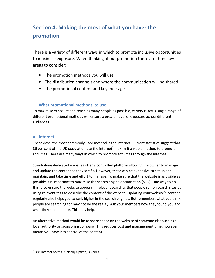# **Section 4: Making the most of what you have- the promotion**

There is a variety of different ways in which to promote inclusive opportunities to maximise exposure. When thinking about promotion there are three key areas to consider:

- The promotion methods you will use
- The distribution channels and where the communication will be shared
- The promotional content and key messages

# **1. What promotional methods to use**

To maximise exposure and reach as many people as possible, variety is key. Using a range of different promotional methods will ensure a greater level of exposure across different audiences.

## **a. Internet**

.

These days, the most commonly used method is the internet. Current statistics suggest that 86 per cent of the UK population use the internet<sup>2</sup> making it a viable method to promote activities. There are many ways in which to promote activities through the internet.

Stand-alone dedicated websites offer a controlled platform allowing the owner to manage and update the content as they see fit. However, these can be expensive to set up and maintain, and take time and effort to manage. To make sure that the website is as visible as possible it is important to maximise the search engine optimisation (SEO). One way to do this is to ensure the website appears in relevant searches that people run on search sites by using relevant tags to describe the content of the website. Updating your website's content regularly also helps you to rank higher in the search engines. But remember, what you think people are searching for may not be the reality. Ask your members how they found you and what they searched for. This may help.

An alternative method would be to share space on the website of someone else such as a local authority or sponsoring company. This reduces cost and management time, however means you have less control of the content.

 $2$  ONS Internet Access Quarterly Update, Q3 2013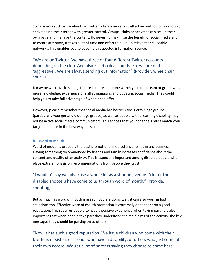Social media such as Facebook or Twitter offers a more cost effective method of promoting activities via the internet with greater control. Groups, clubs or activities can set up their own page and manage the content. However, to maximise the benefit of social media and to create attention, it takes a lot of time and effort to build up relevant and useable networks. This enables you to become a respected information source.

"We are on Twitter. We have three or four different Twitter accounts depending on the club. And also Facebook accounts. So, we are quite 'aggressive'. We are always sending out information" (Provider, wheelchair sports)

It may be worthwhile seeing if there is there someone within your club, team or group with more knowledge, experience or skill at managing and updating social media. They could help you to take full advantage of what it can offer.

However, please remember that social media has barriers too. Certain age groups (particularly younger and older age groups) as well as people with a learning disability may not be active social media communicators. This echoes that your channels must match your target audience in the best way possible.

#### **b. Word of mouth**

Word of mouth is probably the best promotional method anyone has in any business. Having something recommended by friends and family increases confidence about the content and quality of an activity. This is especially important among disabled people who place extra emphasis on recommendations from people they trust.

"I wouldn't say we advertise a whole lot as a shooting venue. A lot of the disabled shooters have come to us through word of mouth." (Provide, shooting)

But as much as word of mouth is great if you are doing well, it can also work in bad situations too. Effective word of mouth promotion is extremely dependent on a good reputation. This requires people to have a positive experience when taking part. It is also important that when people take part they understand the main aims of the activity, the key messages they should be passing on to others.

"Now it has such a good reputation. We have children who come with their brothers or sisters or friends who have a disability, or others who just come of their own accord. We get a lot of parents saying they choose to come here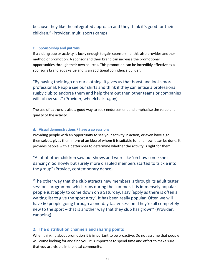because they like the integrated approach and they think it's good for their children." (Provider, multi sports camp)

#### **c. Sponsorship and patrons**

If a club, group or activity is lucky enough to gain sponsorship, this also provides another method of promotion. A sponsor and their brand can increase the promotional opportunities through their own sources. This promotion can be incredibly effective as a sponsor's brand adds value and is an additional confidence builder.

"By having their logo on our clothing, it gives us that boost and looks more professional. People see our shirts and think if they can entice a professional rugby club to endorse them and help them out then other teams or companies will follow suit." (Provider, wheelchair rugby)

The use of patrons is also a good way to seek endorsement and emphasise the value and quality of the activity.

#### **d. Visual demonstrations / have a go sessions**

Providing people with an opportunity to see your activity in action, or even have a go themselves, gives them more of an idea of whom it is suitable for and how it can be done. It provides people with a better idea to determine whether the activity is right for them

"A lot of other children saw our shows and were like 'oh how come she is dancing?' So slowly but surely more disabled members started to trickle into the group" (Provide, contemporary dance)

"The other way that the club attracts new members is through its adult taster sessions programme which runs during the summer. It is immensely popular – people just apply to come down on a Saturday. I say 'apply as there is often a waiting list to give the sport a try'. It has been really popular. Often we will have 60 people going through a one-day taster session. They're all completely new to the sport – that is another way that they club has grown" (Provider, canoeing)

# **2. The distribution channels and sharing points**

When thinking about promotion it is important to be proactive. Do not assume that people will come looking for and find you. It is important to spend time and effort to make sure that you are visible in the local community.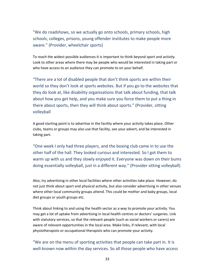"We do roadshows, so we actually go onto schools, primary schools, high schools, colleges, prisons, young offender institutes to make people more aware." (Provider, wheelchair sports)

To reach the widest possible audiences it is important to think beyond sport and activity. Look to other areas where there may be people who would be interested in taking part or who have access to an audience they can promote to on your behalf.

"There are a lot of disabled people that don't think sports are within their world so they don't look at sports websites. But if you go to the websites that they do look at, like disability organisations that talk about funding, that talk about how you get help, and you make sure you force them to put a thing in there about sports, then they will think about sports." (Provider, sitting volleyball

A good starting point is to advertise in the facility where your activity takes place. Other clubs, teams or groups may also use that facility, see your advert, and be interested in taking part.

"One week I only had three players, and the boxing club came in to use the other half of the hall. They looked curious and interested. So I got them to warm up with us and they slowly enjoyed it. Everyone was down on their bums doing essentially volleyball, just in a different way." (Provider sitting volleyball)

Also, try advertising in other local facilities where other activities take place. However, do not just think about sport and physical activity, but also consider advertising in other venues where other local community groups attend. This could be mother and baby groups, local diet groups or youth groups etc.

Think about linking to and using the health sector as a way to promote your activity. You may get a lot of uptake from advertising in local health centres or doctors' surgeries. Link with statutory services, so that the relevant people (such as social workers or carers) are aware of relevant opportunities in the local area. Make links, if relevant, with local physiotherapists or occupational therapists who can promote your activity.

"We are on the menu of sporting activities that people can take part in. It is well-known now within the day services. So all those people who have access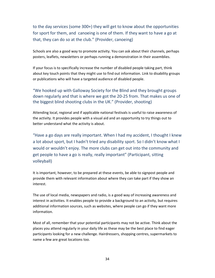to the day services (some 300+) they will get to know about the opportunities for sport for them, and canoeing is one of them. If they want to have a go at that, they can do so at the club." (Provider, canoeing)

Schools are also a good way to promote activity. You can ask about their channels, perhaps posters, leaflets, newsletters or perhaps running a demonstration in their assemblies.

If your focus is to specifically increase the number of disabled people taking part, think about key touch points that they might use to find out information. Link to disability groups or publications who will have a targeted audience of disabled people.

"We hooked up with Galloway Society for the Blind and they brought groups down regularly and that is where we got the 20-25 from. That makes us one of the biggest blind shooting clubs in the UK." (Provider, shooting)

Attending local, regional and if applicable national festivals is useful to raise awareness of the activity. It provides people with a visual aid and an opportunity to try things out to better understand what the activity is about.

"Have a go days are really important. When I had my accident, I thought I knew a lot about sport, but I hadn't tried any disability sport. So I didn't know what I would or wouldn't enjoy. The more clubs can get out into the community and get people to have a go is really, really important" (Participant, sitting volleyball)

It is important, however, to be prepared at these events, be able to signpost people and provide them with relevant information about where they can take part if they show an interest.

The use of local media, newspapers and radio, is a good way of increasing awareness and interest in activities. It enables people to provide a background to an activity, but requires additional information sources, such as websites, where people can go if they want more information.

Most of all, remember that your potential participants may not be active. Think about the places you attend regularly in your daily life as these may be the best place to find eager participants looking for a new challenge. Hairdressers, shopping centres, supermarkets to name a few are great locations too.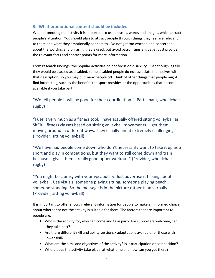# **3. What promotional content should be included**

When promoting the activity it is important to use phrases, words and images, which attract people's attention. You should plan to attract people through things they feel are relevant to them and what they emotionally connect to.. Do not get too worried and concerned about the wording and phrasing that is used, but avoid patronising language . Just provide the relevant facts and contact points for more information.

From research findings, the popular activities do not focus on disability. Even though legally they would be classed as disabled, some disabled people do not associate themselves with that description, so you may put many people off. Think of other things that people might find interesting, such as the benefits the sport provides or the opportunities that become available if you take part.

"We tell people it will be good for their coordination." (Participant, wheelchair rugby)

"I use it very much as a fitness tool. I have actually offered sitting volleyball as SitFit – fitness classes based on sitting volleyball movements. I get them moving around in different ways. They usually find it extremely challenging." (Provider, sitting volleyball)

"We have had people come down who don't necessarily want to take it up as a sport and play in competitions, but they want to still come down and train because it gives them a really good upper workout." (Provider, wheelchair rugby)

"You might be clumsy with your vocabulary. Just advertise it talking about volleyball. Use visuals, someone playing sitting, someone playing beach, someone standing. So the message is in the picture rather than verbally." (Provider, sitting volleyball)

It is important to offer enough relevant information for people to make an informed choice about whether or not the activity is suitable for them. The factors that are important to people are:

- Who is the activity for, who can come and take part? Are supporters welcome, can they take part?
- Are there different skill and ability sessions / adaptations available for those with lower skill?
- What are the aims and objectives of the activity? Is it participation or competition?
- Where does the activity take place, at what time and how can you get there?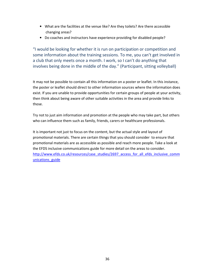- What are the facilities at the venue like? Are they toilets? Are there accessible changing areas?
- Do coaches and instructors have experience providing for disabled people?

"I would be looking for whether it is run on participation or competition and some information about the training sessions. To me, you can't get involved in a club that only meets once a month. I work, so I can't do anything that involves being done in the middle of the day." (Participant, sitting volleyball)

It may not be possible to contain all this information on a poster or leaflet. In this instance, the poster or leaflet should direct to other information sources where the information does exist. If you are unable to provide opportunities for certain groups of people at your activity, then think about being aware of other suitable activities in the area and provide links to those.

Try not to just aim information and promotion at the people who may take part, but others who can influence them such as family, friends, carers or healthcare professionals.

It is important not just to focus on the content, but the actual style and layout of promotional materials. There are certain things that you should consider to ensure that promotional materials are as accessible as possible and reach more people. Take a look at the EFDS inclusive communications guide for more detail on the areas to consider. http://www.efds.co.uk/resources/case\_studies/2697\_access\_for\_all\_efds\_inclusive\_comm unications\_guide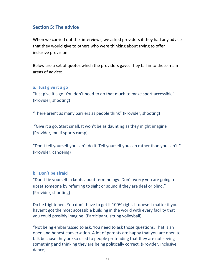# **Section 5: The advice**

When we carried out the interviews, we asked providers if they had any advice that they would give to others who were thinking about trying to offer inclusive provision.

Below are a set of quotes which the providers gave. They fall in to these main areas of advice:

# **a. Just give it a go**

"Just give it a go. You don't need to do that much to make sport accessible" (Provider, shooting)

"There aren't as many barriers as people think" (Provider, shooting)

 "Give it a go. Start small. It won't be as daunting as they might imagine (Provider, multi sports camp)

"Don't tell yourself you can't do it. Tell yourself you can rather than you can't." (Provider, canoeing)

# **b. Don't be afraid**

"Don't tie yourself in knots about terminology. Don't worry you are going to upset someone by referring to sight or sound if they are deaf or blind." (Provider, shooting)

Do be frightened. You don't have to get it 100% right. It doesn't matter if you haven't got the most accessible building in the world with every facility that you could possibly imagine. (Participant, sitting volleyball)

"Not being embarrassed to ask. You need to ask those questions. That is an open and honest conversation. A lot of parents are happy that you are open to talk because they are so used to people pretending that they are not seeing something and thinking they are being politically correct. (Provider, inclusive dance)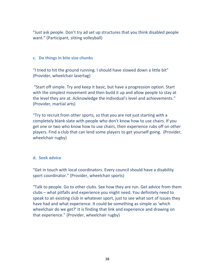"Just ask people. Don't try ad set up structures that you think disabled people want." (Participant, sitting volleyball)

# **c. Do things in bite size chunks**

"I tried to hit the ground running. I should have slowed down a little bit" (Provider, wheelchair lasertag)

 "Start off simple. Try and keep it basic, but have a progression option. Start with the simplest movement and then build it up and allow people to stay at the level they are at. Acknowledge the individual's level and achievements." (Provider, martial arts)

"Try to recruit from other sports, so that you are not just starting with a completely blank slate with people who don't know how to use chairs. If you get one or two who know how to use chairs, their experience rubs off on other players. Find a club that can lend some players to get yourself going. (Provider, wheelchair rugby)

# **d. Seek advice**

"Get in touch with local coordinators. Every council should have a disability sport coordinator." (Provider, wheelchair sports)

"Talk to people. Go to other clubs. See how they are run. Get advice from them clubs – what pitfalls and experience you might need. You definitely need to speak to an existing club in whatever sport, just to see what sort of issues they have had and what experience. It could be something as simple as 'which wheelchair do we get?' It is finding that link and experience and drawing on that experience." (Provider, wheelchair rugby)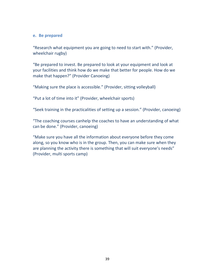# **e. Be prepared**

"Research what equipment you are going to need to start with." (Provider, wheelchair rugby)

"Be prepared to invest. Be prepared to look at your equipment and look at your facilities and think how do we make that better for people. How do we make that happen?" (Provider Canoeing)

"Making sure the place is accessible." (Provider, sitting volleyball)

"Put a lot of time into it" (Provider, wheelchair sports)

"Seek training in the practicalities of setting up a session." (Provider, canoeing)

"The coaching courses canhelp the coaches to have an understanding of what can be done." (Provider, canoeing)

"Make sure you have all the information about everyone before they come along, so you know who is in the group. Then, you can make sure when they are planning the activity there is something that will suit everyone's needs" (Provider, multi sports camp)